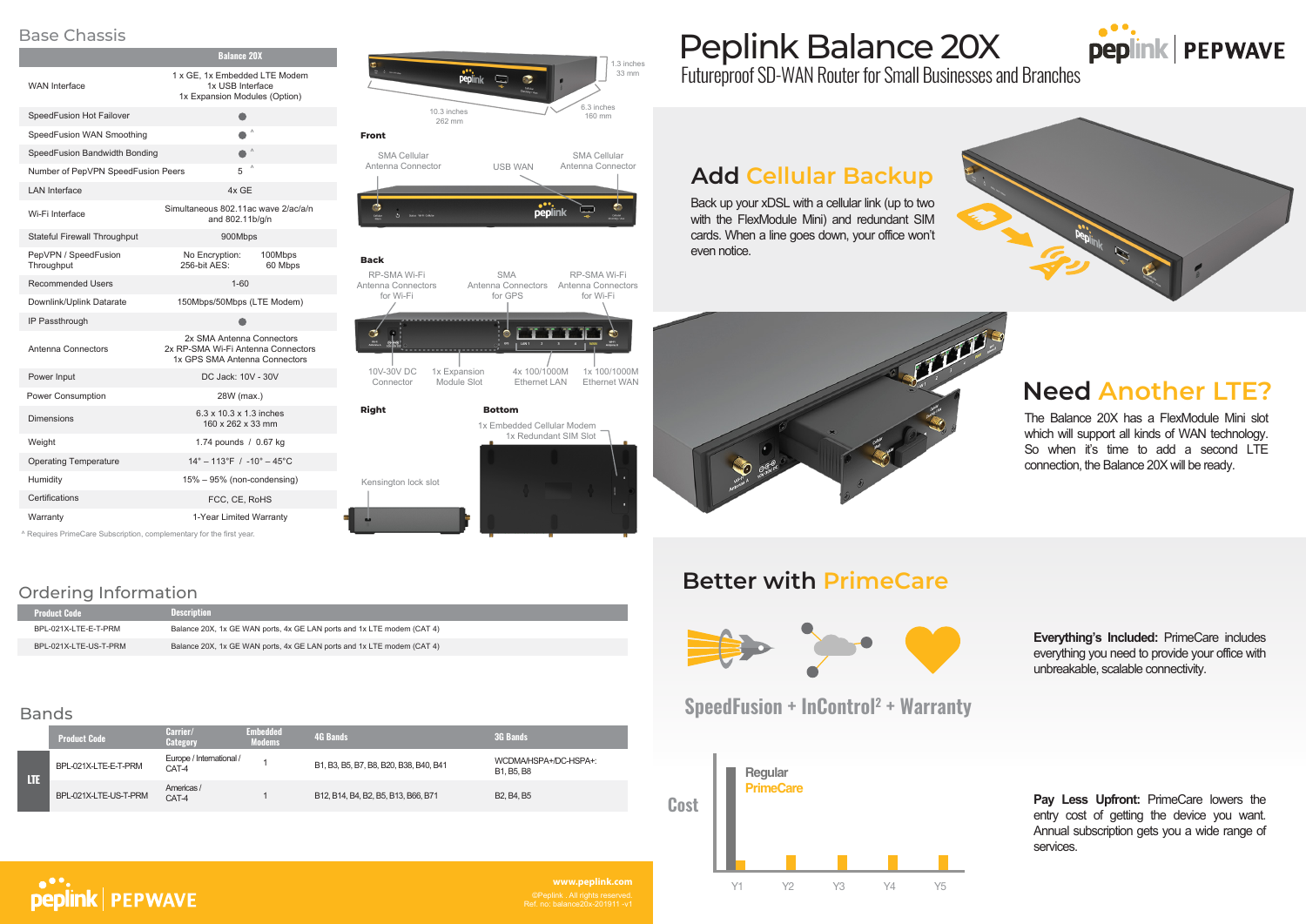# **Need Another LTE?**

## **Better with PrimeCare**



Futureproof SD-WAN Router for Small Businesses and Branches

# Peplink Balance 20X



### Ordering Information



#### **Back**

Ref. no: balance20x-201911 -v1 **www.peplink.com**









| <b>Product Code</b>   | <b>Description</b>                                                     |
|-----------------------|------------------------------------------------------------------------|
| BPL-021X-LTE-E-T-PRM  | Balance 20X, 1x GE WAN ports, 4x GE LAN ports and 1x LTE modem (CAT 4) |
| BPL-021X-LTE-US-T-PRM | Balance 20X, 1x GE WAN ports, 4x GE LAN ports and 1x LTE modem (CAT 4) |

#### Bands

|     | <b>Product Code</b>   | Carrier/<br><b>Category</b>       | <b>Embedded</b><br>Modems | <b>4G Bands</b>                        | <b>3G Bands</b>                                  |
|-----|-----------------------|-----------------------------------|---------------------------|----------------------------------------|--------------------------------------------------|
| LTE | BPL-021X-LTE-E-T-PRM  | Europe / International /<br>CAT-4 |                           | B1, B3, B5, B7, B8, B20, B38, B40, B41 | WCDMA/HSPA+/DC-HSPA+:<br>B1. B5. B8              |
|     | BPL-021X-LTE-US-T-PRM | Americas /<br>CAT-4               |                           | B12, B14, B4, B2, B5, B13, B66, B71    | B <sub>2</sub> , B <sub>4</sub> , B <sub>5</sub> |



1.3 inches 33 mm  $\frac{1}{2}$  peplink  $\Box$ 6.3 inches 10.3 inches 160 mm 262 mm **Front** SMA Cellular SMA Cellular Antenna Connector USB WAN Antenna Connector

peplink  $\bullet$ نک

### Base Chassis

# **Add Cellular Backup**

## **SpeedFusion + InControl2 + Warranty**



The Balance 20X has a FlexModule Mini slot which will support all kinds of WAN technology. So when it's time to add a second LTE connection, the Balance 20X will be ready.

Back up your xDSL with a cellular link (up to two with the FlexModule Mini) and redundant SIM cards. When a line goes down, your office won't even notice.



**Everything's Included:** PrimeCare includes everything you need to provide your office with unbreakable, scalable connectivity.

**Pay Less Upfront:** PrimeCare lowers the entry cost of getting the device you want. Annual subscription gets you a wide range of services.

|                                                                    | <b>Balance 20X</b>                                                                               |  |  |
|--------------------------------------------------------------------|--------------------------------------------------------------------------------------------------|--|--|
| <b>WAN</b> Interface                                               | 1 x GE, 1x Embedded LTE Modem<br>1x USB Interface<br>1x Expansion Modules (Option)               |  |  |
| SpeedFusion Hot Failover                                           | e i                                                                                              |  |  |
| SpeedFusion WAN Smoothing                                          | $\wedge$                                                                                         |  |  |
| SpeedFusion Bandwidth Bonding                                      | $\lambda$                                                                                        |  |  |
| Number of PepVPN SpeedFusion Peers                                 | Λ<br>5                                                                                           |  |  |
| <b>LAN</b> Interface                                               | 4x GE                                                                                            |  |  |
| Wi-Fi Interface                                                    | Simultaneous 802.11ac wave 2/ac/a/n<br>and 802.11b/g/n                                           |  |  |
| <b>Stateful Firewall Throughput</b>                                | 900Mbps                                                                                          |  |  |
| PepVPN / SpeedFusion<br>Throughput                                 | No Encryption:<br>100Mbps<br>256-bit AES:<br>60 Mbps                                             |  |  |
| <b>Recommended Users</b>                                           | $1 - 60$                                                                                         |  |  |
| Downlink/Uplink Datarate                                           | 150Mbps/50Mbps (LTE Modem)                                                                       |  |  |
| IP Passthrough                                                     |                                                                                                  |  |  |
| Antenna Connectors                                                 | 2x SMA Antenna Connectors<br>2x RP-SMA Wi-Fi Antenna Connectors<br>1x GPS SMA Antenna Connectors |  |  |
| Power Input                                                        | DC Jack: 10V - 30V                                                                               |  |  |
| Power Consumption                                                  | 28W (max.)                                                                                       |  |  |
| <b>Dimensions</b>                                                  | 6.3 x 10.3 x 1.3 inches<br>160 x 262 x 33 mm                                                     |  |  |
| Weight                                                             | 1.74 pounds / 0.67 kg                                                                            |  |  |
| <b>Operating Temperature</b>                                       | $14^{\circ} - 113^{\circ}F$ / $-10^{\circ} - 45^{\circ}C$                                        |  |  |
| Humidity                                                           | $15\% - 95\%$ (non-condensing)                                                                   |  |  |
| Certifications                                                     | FCC, CE, RoHS                                                                                    |  |  |
| Warranty                                                           | 1-Year Limited Warranty                                                                          |  |  |
| A Requires PrimeCare Subscription complementary for the first year |                                                                                                  |  |  |